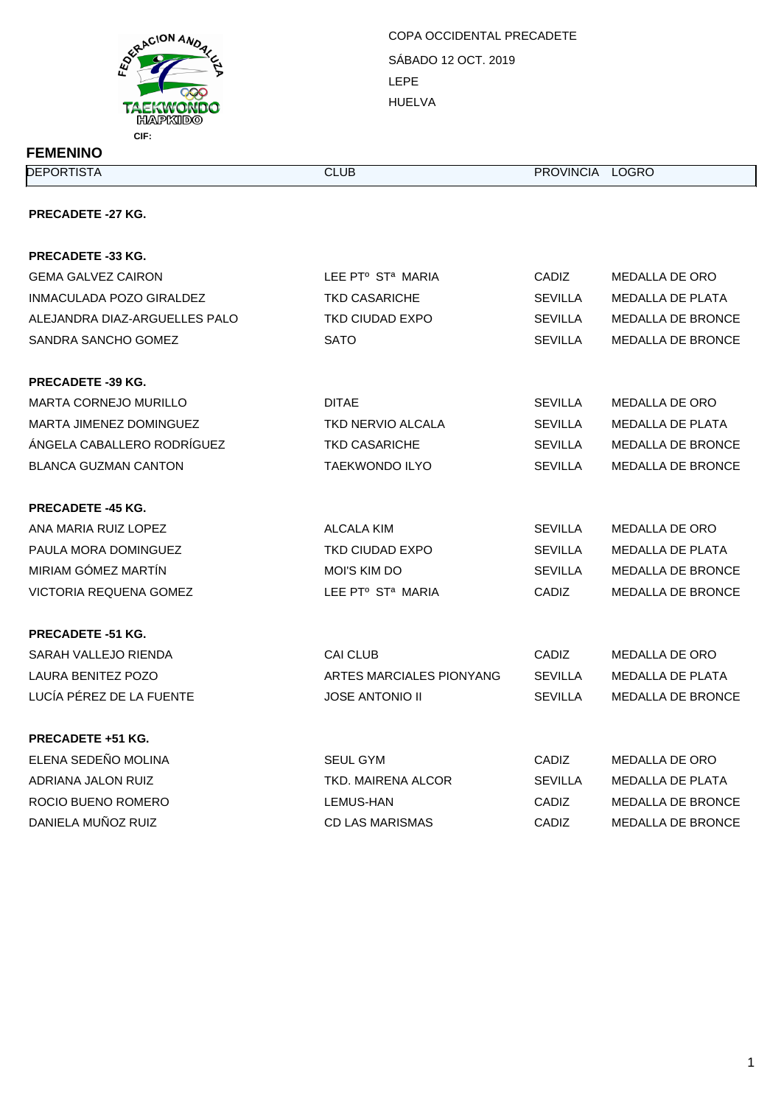

SÁBADO 12 OCT. 2019 LEPE HUELVA COPA OCCIDENTAL PRECADETE

| <b>FEMENINO</b> |  |
|-----------------|--|
|-----------------|--|

**DEPORTISTA CLUB** CLUB PROVINCIA LOGRO

## **PRECADETE -27 KG.**

| <b>PRECADETE -33 KG.</b>      |                               |                |                          |
|-------------------------------|-------------------------------|----------------|--------------------------|
| <b>GEMA GALVEZ CAIRON</b>     | LEE PTº ST <sup>a</sup> MARIA | CADIZ          | MEDALLA DE ORO           |
| INMACULADA POZO GIRALDEZ      | <b>TKD CASARICHE</b>          | <b>SEVILLA</b> | <b>MEDALLA DE PLATA</b>  |
| ALEJANDRA DIAZ-ARGUELLES PALO | <b>TKD CIUDAD EXPO</b>        | <b>SEVILLA</b> | <b>MEDALLA DE BRONCE</b> |
| SANDRA SANCHO GOMEZ           | <b>SATO</b>                   | <b>SEVILLA</b> | <b>MEDALLA DE BRONCE</b> |
|                               |                               |                |                          |
| <b>PRECADETE -39 KG.</b>      |                               |                |                          |
| <b>MARTA CORNEJO MURILLO</b>  | <b>DITAE</b>                  | <b>SEVILLA</b> | MEDALLA DE ORO           |
| MARTA JIMENEZ DOMINGUEZ       | <b>TKD NERVIO ALCALA</b>      | <b>SEVILLA</b> | <b>MEDALLA DE PLATA</b>  |
| ÁNGELA CABALLERO RODRÍGUEZ    | <b>TKD CASARICHE</b>          | <b>SEVILLA</b> | <b>MEDALLA DE BRONCE</b> |
| <b>BLANCA GUZMAN CANTON</b>   | <b>TAEKWONDO ILYO</b>         | <b>SEVILLA</b> | <b>MEDALLA DE BRONCE</b> |
| <b>PRECADETE -45 KG.</b>      |                               |                |                          |
| ANA MARIA RUIZ LOPEZ          | ALCALA KIM                    | <b>SEVILLA</b> | MEDALLA DE ORO           |
| PAULA MORA DOMINGUEZ          | TKD CIUDAD EXPO               | <b>SEVILLA</b> | MEDALLA DE PLATA         |
| MIRIAM GÓMEZ MARTÍN           | <b>MOI'S KIM DO</b>           | <b>SEVILLA</b> | <b>MEDALLA DE BRONCE</b> |
| VICTORIA REQUENA GOMEZ        | LEE PTº ST <sup>a</sup> MARIA | CADIZ          | <b>MEDALLA DE BRONCE</b> |
| <b>PRECADETE -51 KG.</b>      |                               |                |                          |
| SARAH VALLEJO RIENDA          | <b>CAI CLUB</b>               | CADIZ          | MEDALLA DE ORO           |
| LAURA BENITEZ POZO            | ARTES MARCIALES PIONYANG      | <b>SEVILLA</b> | <b>MEDALLA DE PLATA</b>  |
| LUCÍA PÉREZ DE LA FUENTE      | <b>JOSE ANTONIO II</b>        | SEVILLA        | <b>MEDALLA DE BRONCE</b> |
| <b>PRECADETE +51 KG.</b>      |                               |                |                          |
| ELENA SEDEÑO MOLINA           | <b>SEUL GYM</b>               | CADIZ          | MEDALLA DE ORO           |
| ADRIANA JALON RUIZ            | <b>TKD. MAIRENA ALCOR</b>     | <b>SEVILLA</b> | <b>MEDALLA DE PLATA</b>  |
| ROCIO BUENO ROMERO            | LEMUS-HAN                     | <b>CADIZ</b>   | <b>MEDALLA DE BRONCE</b> |
| DANIELA MUÑOZ RUIZ            | <b>CD LAS MARISMAS</b>        | CADIZ          | <b>MEDALLA DE BRONCE</b> |